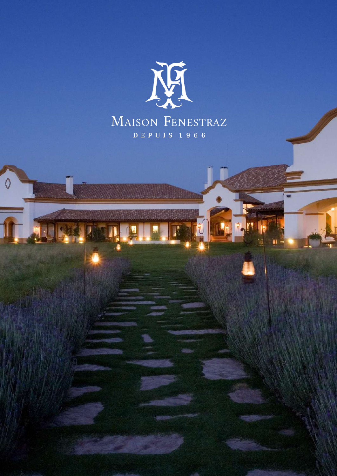

C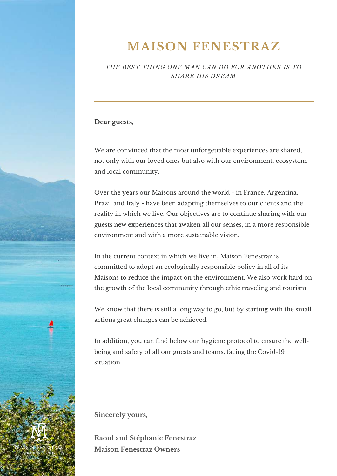## **MAISON FENESTRAZ**

*THE BEST THING ONE MAN CAN DO FOR ANOTHER IS TO SHARE HIS DREAM*

#### **Dear guests,**

We are convinced that the most unforgettable experiences are shared, not only with our loved ones but also with our environment, ecosystem and local community.

Over the years our Maisons around the world - in France, Argentina, Brazil and Italy - have been adapting themselves to our clients and the reality in which we live. Our objectives are to continue sharing with our guests new experiences that awaken all our senses, in a more responsible environment and with a more sustainable vision.

In the current context in which we live in, Maison Fenestraz is committed to adopt an ecologically responsible policy in all of its Maisons to reduce the impact on the environment. We also work hard on the growth of the local community through ethic traveling and tourism.

We know that there is still a long way to go, but by starting with the small actions great changes can be achieved.

In addition, you can find below our hygiene protocol to ensure the wellbeing and safety of all our guests and teams, facing the Covid-19 situation.

**Sincerely yours,**

**Raoul and Stéphanie Fenestraz Maison Fenestraz Owners**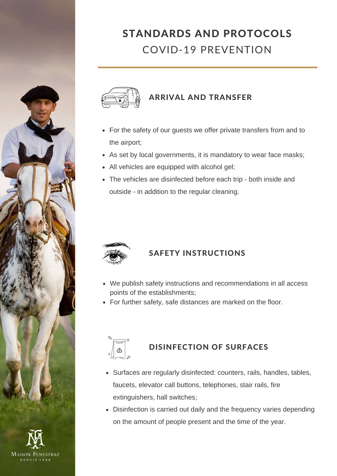

#### ARRIVAL AND TRANSFER

- For the safety of our guests we offer private transfers from and to the airport;
- As set by local governments, it is mandatory to wear face masks;
- All vehicles are equipped with alcohol gel;
- The vehicles are disinfected before each trip both inside and outside - in addition to the regular cleaning.



#### SAFETY INSTRUCTIONS

- We publish safety instructions and recommendations in all access points of the establishments;
- For further safety, safe distances are marked on the floor.



#### DISINFECTION OF SURFACES

- Surfaces are regularly disinfected: counters, rails, handles, tables, faucets, elevator call buttons, telephones, stair rails, fire extinguishers, hall switches;
- Disinfection is carried out daily and the frequency varies depending on the amount of people present and the time of the year.

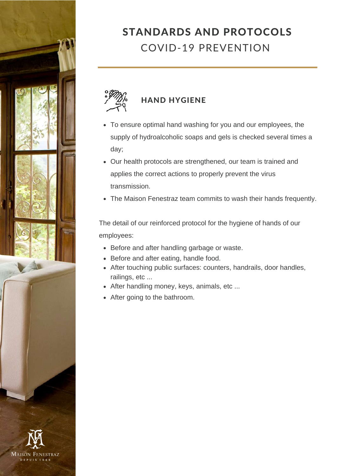



- To ensure optimal hand washing for you and our employees, the supply of hydroalcoholic soaps and gels is checked several times a day;
- Our health protocols are strengthened, our team is trained and applies the correct actions to properly prevent the virus transmission.
- The Maison Fenestraz team commits to wash their hands frequently.

The detail of our reinforced protocol for the hygiene of hands of our employees:

- Before and after handling garbage or waste.
- Before and after eating, handle food.
- After touching public surfaces: counters, handrails, door handles, railings, etc ...
- After handling money, keys, animals, etc ...
- After going to the bathroom.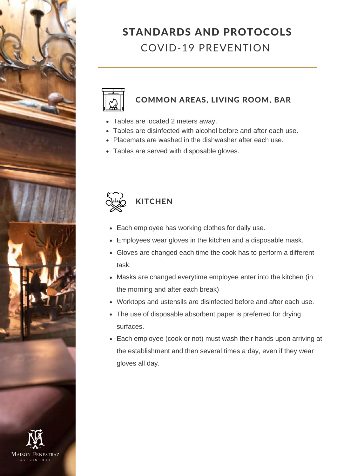



#### COMMON AREAS, LIVING ROOM, BAR

- Tables are located 2 meters away.
- Tables are disinfected with alcohol before and after each use.
- Placemats are washed in the dishwasher after each use.
- Tables are served with disposable gloves.



### **KITCHEN**

- Each employee has working clothes for daily use.
- Employees wear gloves in the kitchen and a disposable mask.
- Gloves are changed each time the cook has to perform a different task.
- Masks are changed everytime employee enter into the kitchen (in the morning and after each break)
- Worktops and ustensils are disinfected before and after each use.
- The use of disposable absorbent paper is preferred for drying surfaces.
- Each employee (cook or not) must wash their hands upon arriving at the establishment and then several times a day, even if they wear gloves all day.